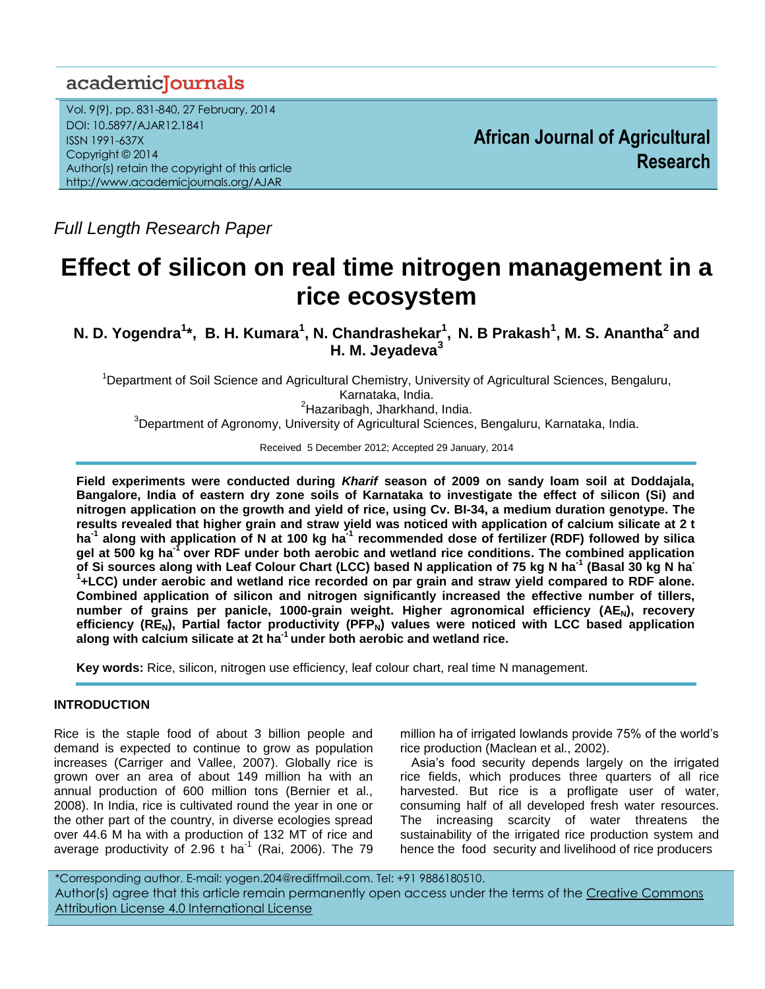# academiclournals

Vol. 9(9), pp. 831-840, 27 February, 2014 DOI: 10.5897/AJAR12.1841 ISSN 1991-637X Copyright © 2014 Author(s) retain the copyright of this article http://www.academicjournals.org/AJAR

**African Journal of Agricultural Research**

*Full Length Research Paper*

# **Effect of silicon on real time nitrogen management in a rice ecosystem**

**N. D. Yogendra<sup>1</sup>\*, B. H. Kumara<sup>1</sup>, N. Chandrashekar<sup>1</sup>, N. B Prakash<sup>1</sup>, M. S. Anantha<sup>2</sup> and H. M. Jeyadeva<sup>3</sup>**

<sup>1</sup>Department of Soil Science and Agricultural Chemistry, University of Agricultural Sciences, Bengaluru, Karnataka, India. <sup>2</sup>Hazaribagh, Jharkhand, India. <sup>3</sup>Department of Agronomy, University of Agricultural Sciences, Bengaluru, Karnataka, India.

Received 5 December 2012; Accepted 29 January, 2014

**Field experiments were conducted during** *Kharif* **season of 2009 on sandy loam soil at Doddajala, Bangalore, India of eastern dry zone soils of Karnataka to investigate the effect of silicon (Si) and nitrogen application on the growth and yield of rice, using Cv. BI-34, a medium duration genotype. The results revealed that higher grain and straw yield was noticed with application of calcium silicate at 2 t ha-1 along with application of N at 100 kg ha-1 recommended dose of fertilizer (RDF) followed by silica gel at 500 kg ha-1 over RDF under both aerobic and wetland rice conditions. The combined application of Si sources along with Leaf Colour Chart (LCC) based N application of 75 kg N ha-1 (Basal 30 kg N ha-1 +LCC) under aerobic and wetland rice recorded on par grain and straw yield compared to RDF alone. Combined application of silicon and nitrogen significantly increased the effective number of tillers, number of grains per panicle, 1000-grain weight. Higher agronomical efficiency (AEN), recovery efficiency (REN), Partial factor productivity (PFPN) values were noticed with LCC based application along with calcium silicate at 2t ha-1 under both aerobic and wetland rice.** 

**Key words:** Rice, silicon, nitrogen use efficiency, leaf colour chart, real time N management.

### **INTRODUCTION**

Rice is the staple food of about 3 billion people and demand is expected to continue to grow as population increases (Carriger and Vallee, 2007). Globally rice is grown over an area of about 149 million ha with an annual production of 600 million tons (Bernier et al., 2008). In India, rice is cultivated round the year in one or the other part of the country, in diverse ecologies spread over 44.6 M ha with a production of 132 MT of rice and average productivity of 2.96 t ha $^{-1}$  (Rai, 2006). The 79 million ha of irrigated lowlands provide 75% of the world's rice production (Maclean et al., 2002).

Asia's food security depends largely on the irrigated rice fields, which produces three quarters of all rice harvested. But rice is a profligate user of water, consuming half of all developed fresh water resources. The increasing scarcity of water threatens the sustainability of the irrigated rice production system and hence the food security and livelihood of rice producers

\*Corresponding author. E-mail: yogen.204@rediffmail.com. Tel: +91 9886180510. Author(s) agree that this article remain permanently open access under the terms of the Creative Commons [Attribution License 4.0 International License](http://creativecommons.org/licenses/by/4.0/deed.en_US)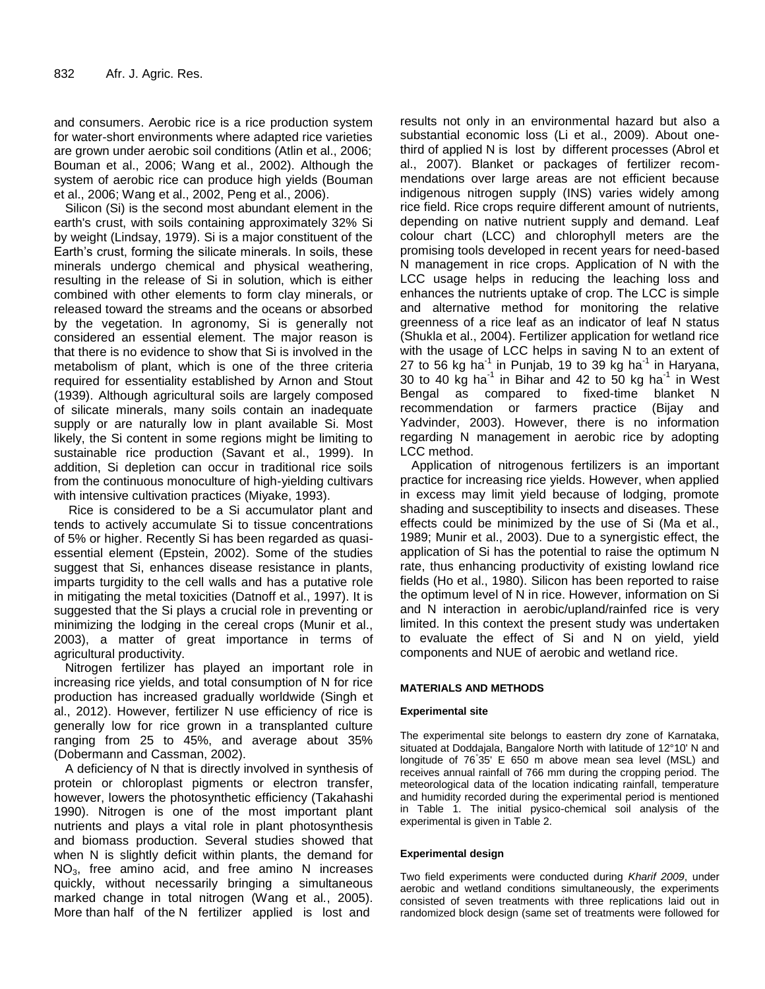and consumers. Aerobic rice is a rice production system for water-short environments where adapted rice varieties are grown under aerobic soil conditions (Atlin et al., 2006; Bouman et al., 2006; Wang et al., 2002). Although the system of aerobic rice can produce high yields (Bouman et al., 2006; Wang et al., 2002, Peng et al., 2006).

Silicon (Si) is the second most abundant element in the earth's crust, with soils containing approximately 32% Si by weight (Lindsay, 1979). Si is a major constituent of the Earth's crust, forming the silicate minerals. In soils, these minerals undergo chemical and physical weathering, resulting in the release of Si in solution, which is either combined with other elements to form clay minerals, or released toward the streams and the oceans or absorbed by the vegetation. In agronomy, Si is generally not considered an essential element. The major reason is that there is no evidence to show that Si is involved in the metabolism of plant, which is one of the three criteria required for essentiality established by Arnon and Stout (1939). Although agricultural soils are largely composed of silicate minerals, many soils contain an inadequate supply or are naturally low in plant available Si. Most likely, the Si content in some regions might be limiting to sustainable rice production (Savant et al., 1999). In addition, Si depletion can occur in traditional rice soils from the continuous monoculture of high-yielding cultivars with intensive cultivation practices (Miyake, 1993).

Rice is considered to be a Si accumulator plant and tends to actively accumulate Si to tissue concentrations of 5% or higher. Recently Si has been regarded as quasiessential element (Epstein, 2002). Some of the studies suggest that Si, enhances disease resistance in plants, imparts turgidity to the cell walls and has a putative role in mitigating the metal toxicities (Datnoff et al., 1997). It is suggested that the Si plays a crucial role in preventing or minimizing the lodging in the cereal crops (Munir et al., 2003), a matter of great importance in terms of agricultural productivity.

Nitrogen fertilizer has played an important role in increasing rice yields, and total consumption of N for rice production has increased gradually worldwide (Singh et al., 2012). However, fertilizer N use efficiency of rice is generally low for rice grown in a transplanted culture ranging from 25 to 45%, and average about 35% (Dobermann and Cassman, 2002).

A deficiency of N that is directly involved in synthesis of protein or chloroplast pigments or electron transfer, however, lowers the photosynthetic efficiency (Takahashi 1990). Nitrogen is one of the most important plant nutrients and plays a vital role in plant photosynthesis and biomass production. Several studies showed that when N is slightly deficit within plants, the demand for  $NO<sub>3</sub>$ , free amino acid, and free amino N increases quickly, without necessarily bringing a simultaneous marked change in total nitrogen (Wang et al*.*, 2005). More than half of the N fertilizer applied is lost and

results not only in an environmental hazard but also a substantial economic loss (Li et al., 2009). About onethird of applied N is lost by different processes (Abrol et al., 2007). Blanket or packages of fertilizer recommendations over large areas are not efficient because indigenous nitrogen supply (INS) varies widely among rice field. Rice crops require different amount of nutrients, depending on native nutrient supply and demand. Leaf colour chart (LCC) and chlorophyll meters are the promising tools developed in recent years for need-based N management in rice crops. Application of N with the LCC usage helps in reducing the leaching loss and enhances the nutrients uptake of crop. The LCC is simple and alternative method for monitoring the relative greenness of a rice leaf as an indicator of leaf N status (Shukla et al., 2004). Fertilizer application for wetland rice with the usage of LCC helps in saving N to an extent of 27 to 56 kg ha<sup>-1</sup> in Punjab, 19 to 39 kg ha<sup>-1</sup> in Haryana, 30 to 40 kg ha<sup>-1</sup> in Bihar and 42 to 50 kg ha<sup>-1</sup> in West Bengal as compared to fixed-time blanket N recommendation or farmers practice (Bijay and Yadvinder, 2003). However, there is no information regarding N management in aerobic rice by adopting LCC method.

Application of nitrogenous fertilizers is an important practice for increasing rice yields. However, when applied in excess may limit yield because of lodging, promote shading and susceptibility to insects and diseases. These effects could be minimized by the use of Si (Ma et al., 1989; Munir et al., 2003). Due to a synergistic effect, the application of Si has the potential to raise the optimum N rate, thus enhancing productivity of existing lowland rice fields (Ho et al., 1980). Silicon has been reported to raise the optimum level of N in rice. However, information on Si and N interaction in aerobic/upland/rainfed rice is very limited. In this context the present study was undertaken to evaluate the effect of Si and N on yield, yield components and NUE of aerobic and wetland rice.

#### **MATERIALS AND METHODS**

#### **Experimental site**

The experimental site belongs to eastern dry zone of Karnataka, situated at Doddajala, Bangalore North with latitude of 12°10' N and longitude of 76° 35' E 650 m above mean sea level (MSL) and receives annual rainfall of 766 mm during the cropping period. The meteorological data of the location indicating rainfall, temperature and humidity recorded during the experimental period is mentioned in Table 1. The initial pysico-chemical soil analysis of the experimental is given in Table 2.

#### **Experimental design**

Two field experiments were conducted during *Kharif 2009*, under aerobic and wetland conditions simultaneously, the experiments consisted of seven treatments with three replications laid out in randomized block design (same set of treatments were followed for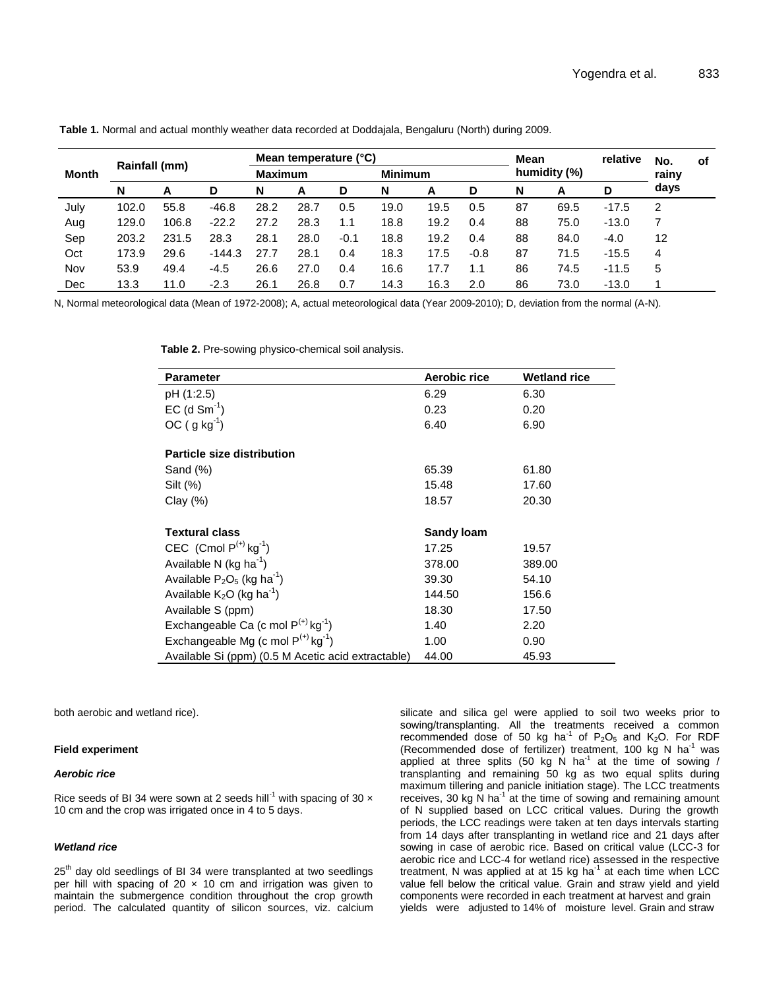|              |               |       | Mean temperature (°C) |                |      |                |      | <b>Mean</b> |              | relative | No.  | οf      |      |  |
|--------------|---------------|-------|-----------------------|----------------|------|----------------|------|-------------|--------------|----------|------|---------|------|--|
| <b>Month</b> | Rainfall (mm) |       |                       | <b>Maximum</b> |      | <b>Minimum</b> |      |             | humidity (%) |          |      | rainy   |      |  |
|              | N             | А     | D                     | N              | A    | D              | N    | A           | D            | N        | А    | D       | days |  |
| July         | 102.0         | 55.8  | $-46.8$               | 28.2           | 28.7 | 0.5            | 19.0 | 19.5        | 0.5          | 87       | 69.5 | $-17.5$ | 2    |  |
| Aug          | 129.0         | 106.8 | $-22.2$               | 27.2           | 28.3 | 1.1            | 18.8 | 19.2        | 0.4          | 88       | 75.0 | $-13.0$ |      |  |
| Sep          | 203.2         | 231.5 | 28.3                  | 28.1           | 28.0 | $-0.1$         | 18.8 | 19.2        | 0.4          | 88       | 84.0 | $-4.0$  | 12   |  |
| Oct          | 173.9         | 29.6  | $-144.3$              | 27.7           | 28.1 | 0.4            | 18.3 | 17.5        | $-0.8$       | 87       | 71.5 | $-15.5$ | 4    |  |
| Nov          | 53.9          | 49.4  | -4.5                  | 26.6           | 27.0 | 0.4            | 16.6 | 17.7        | 1.1          | 86       | 74.5 | $-11.5$ | 5    |  |
| Dec          | 13.3          | 11.0  | $-2.3$                | 26.1           | 26.8 | 0.7            | 14.3 | 16.3        | 2.0          | 86       | 73.0 | $-13.0$ |      |  |

**Table 1.** Normal and actual monthly weather data recorded at Doddajala, Bengaluru (North) during 2009.

N, Normal meteorological data (Mean of 1972-2008); A, actual meteorological data (Year 2009-2010); D, deviation from the normal (A-N).

**Table 2.** Pre-sowing physico-chemical soil analysis.

| <b>Parameter</b>                                    | Aerobic rice      | <b>Wetland rice</b> |
|-----------------------------------------------------|-------------------|---------------------|
| pH (1:2.5)                                          | 6.29              | 6.30                |
| $EC$ (d $Sm^{-1}$ )                                 | 0.23              | 0.20                |
| $OC (g kg-1)$                                       | 6.40              | 6.90                |
| <b>Particle size distribution</b>                   |                   |                     |
| Sand (%)                                            | 65.39             | 61.80               |
| Silt (%)                                            | 15.48             | 17.60               |
| Clay(%)                                             | 18.57             | 20.30               |
|                                                     |                   |                     |
| <b>Textural class</b>                               | <b>Sandy loam</b> |                     |
| CEC (Cmol $P^{(+)}$ kg <sup>-1</sup> )              | 17.25             | 19.57               |
| Available N (kg ha $^{-1}$ )                        | 378.00            | 389.00              |
| Available $P_2O_5$ (kg ha <sup>-1</sup> )           | 39.30             | 54.10               |
| Available $K_2O$ (kg ha <sup>-1</sup> )             | 144.50            | 156.6               |
| Available S (ppm)                                   | 18.30             | 17.50               |
| Exchangeable Ca (c mol $P^{(+)}$ kg <sup>-1</sup> ) | 1.40              | 2.20                |
| Exchangeable Mg (c mol $P^{(+)}$ kg <sup>-1</sup> ) | 1.00              | 0.90                |
| Available Si (ppm) (0.5 M Acetic acid extractable)  | 44.00             | 45.93               |

both aerobic and wetland rice).

#### **Field experiment**

#### *Aerobic rice*

Rice seeds of BI 34 were sown at 2 seeds hill<sup>-1</sup> with spacing of 30  $\times$ 10 cm and the crop was irrigated once in 4 to 5 days.

#### *Wetland rice*

25<sup>th</sup> day old seedlings of BI 34 were transplanted at two seedlings per hill with spacing of 20  $\times$  10 cm and irrigation was given to maintain the submergence condition throughout the crop growth period. The calculated quantity of silicon sources, viz. calcium

silicate and silica gel were applied to soil two weeks prior to sowing/transplanting. All the treatments received a common recommended dose of 50 kg ha<sup>-1</sup> of  $P_2O_5$  and  $K_2O$ . For RDF (Recommended dose of fertilizer) treatment, 100 kg N ha<sup>-1</sup> was applied at three splits (50 kg  $\acute{N}$  ha<sup>-1</sup> at the time of sowing / transplanting and remaining 50 kg as two equal splits during maximum tillering and panicle initiation stage). The LCC treatments receives, 30 kg  $\overline{N}$  ha<sup>-1</sup> at the time of sowing and remaining amount of N supplied based on LCC critical values. During the growth periods, the LCC readings were taken at ten days intervals starting from 14 days after transplanting in wetland rice and 21 days after sowing in case of aerobic rice. Based on critical value (LCC-3 for aerobic rice and LCC-4 for wetland rice) assessed in the respective treatment, N was applied at at 15 kg ha<sup>-1</sup> at each time when LCC value fell below the critical value. Grain and straw yield and yield components were recorded in each treatment at harvest and grain yields were adjusted to 14% of moisture level. Grain and straw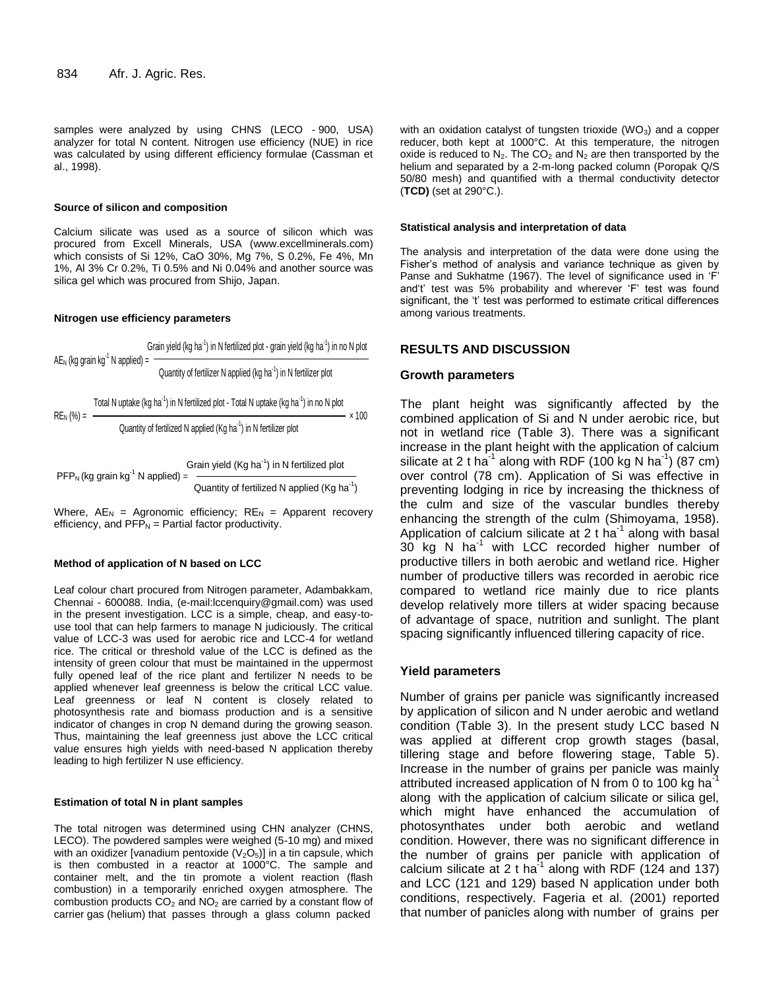samples were analyzed by using CHNS (LECO - 900, USA) analyzer for total N content. Nitrogen use efficiency (NUE) in rice was calculated by using different efficiency formulae (Cassman et al., 1998).

#### **Source of silicon and composition**

Calcium silicate was used as a source of silicon which was procured from Excell Minerals, USA (www.excellminerals.com) which consists of Si 12%, CaO 30%, Mg 7%, S 0.2%, Fe 4%, Mn 1%, Al 3% Cr 0.2%, Ti 0.5% and Ni 0.04% and another source was silica gel which was procured from Shijo, Japan.

#### **Nitrogen use efficiency parameters**

Grain yield (kg ha<sup>-1</sup>) in N fertilized plot - grain yield (kg ha<sup>-1</sup>) in no N plot  $AE_N$  (kg grain kg<sup>-1</sup> N applied) = Quantity of fertilizer N applied (kg ha<sup>-1</sup>) in N fertilizer plot

Total N uptake (kg ha $^{-1}$ ) in N fertilized plot - Total N uptake (kg ha $^{-1}$ ) in no N plot  $RE_N$  (%) =  $\longrightarrow x 100$ 

**1.1** 
$$
\mu
$$
 **1.1**  $\mu$  **2.1**  $\mu$  **3.1**  $\mu$  **4.1**  $\mu$  **5.1**  $\mu$  **6.1**  $\mu$  **7.1**  $\mu$  **8.1**  $\mu$  **9.1**  $\mu$  **10.1**  $\mu$  **11.1**  $\mu$  **10.1**  $\mu$  **11.1**  $\mu$  **12.1**  $\mu$  **13.1**  $\mu$  **14.1**  $\mu$  **15.1**  $\mu$  **16.1**  $\mu$  **17.1**  $\mu$  **18.1**  $\mu$  **19.1**  $\mu$  **19.1**  $\mu$  **19.1**  $\mu$  **19.1**  $\mu$  **19.1**  $\mu$  **19.1**  $\mu$  **19.1**  $\mu$  **19.1**  $\mu$  **19.1**  $\mu$  **19.1**  $\mu$  **19.1**  $\mu$  **19.1**  $\mu$  **19.1**  $\mu$  **19.1**  $\mu$  **19.1**  $\mu$  **19.1**  $\mu$  **19.1**  $\mu$  **19.1**  $\$ 

Grain yield  $(Kg ha^{-1})$  in N fertilized plot  $PFP<sub>N</sub>$  (kg grain kg<sup>-1</sup> N applied) = <sup>1</sup> Quantity of fertilized N applied (Kg ha<sup>-1</sup>)

Where,  $AE_N$  = Agronomic efficiency;  $RE_N$  = Apparent recovery efficiency, and  $PFP_N =$  Partial factor productivity.

#### **Method of application of N based on LCC**

Leaf colour chart procured from Nitrogen parameter, Adambakkam, Chennai - 600088. India, (e-mail:lccenquiry@gmail.com) was used in the present investigation. LCC is a simple, cheap, and easy-touse tool that can help farmers to manage N judiciously. The critical value of LCC-3 was used for aerobic rice and LCC-4 for wetland rice. The critical or threshold value of the LCC is defined as the intensity of green colour that must be maintained in the uppermost fully opened leaf of the rice plant and fertilizer N needs to be applied whenever leaf greenness is below the critical LCC value. Leaf greenness or leaf N content is closely related to photosynthesis rate and biomass production and is a sensitive indicator of changes in crop N demand during the growing season. Thus, maintaining the leaf greenness just above the LCC critical value ensures high yields with need-based N application thereby leading to high fertilizer N use efficiency.

#### **Estimation of total N in plant samples**

The total nitrogen was determined using CHN analyzer (CHNS, LECO). The powdered samples were weighed (5-10 mg) and mixed with an oxidizer [vanadium pentoxide  $(V_2O_5)$ ] in a tin capsule, which is then combusted in a reactor at 1000°C. The sample and container melt, and the tin promote a violent reaction (flash combustion) in a temporarily enriched oxygen atmosphere. The combustion products  $CO<sub>2</sub>$  and  $NO<sub>2</sub>$  are carried by a constant flow of carrier gas (helium) that passes through a glass column packed

with an oxidation catalyst of tungsten trioxide  $(WO_3)$  and a copper reducer, both kept at 1000°C. At this temperature, the nitrogen oxide is reduced to  $N_2$ . The  $CO_2$  and  $N_2$  are then transported by the helium and separated by a 2-m-long packed column (Poropak Q/S 50/80 mesh) and quantified with a thermal conductivity detector (**TCD)** (set at 290°C.).

#### **Statistical analysis and interpretation of data**

The analysis and interpretation of the data were done using the Fisher's method of analysis and variance technique as given by Panse and Sukhatme (1967). The level of significance used in 'F' and't' test was 5% probability and wherever 'F' test was found significant, the 't' test was performed to estimate critical differences among various treatments.

#### **RESULTS AND DISCUSSION**

#### **Growth parameters**

The plant height was significantly affected by the combined application of Si and N under aerobic rice, but not in wetland rice (Table 3). There was a significant increase in the plant height with the application of calcium silicate at 2 t ha<sup>-1</sup> along with RDF (100 kg N ha<sup>-1</sup>) (87 cm) over control (78 cm). Application of Si was effective in preventing lodging in rice by increasing the thickness of the culm and size of the vascular bundles thereby enhancing the strength of the culm (Shimoyama, 1958). Application of calcium silicate at 2 t ha $^{-1}$  along with basal 30 kg N ha<sup>-1</sup> with LCC recorded higher number of productive tillers in both aerobic and wetland rice. Higher number of productive tillers was recorded in aerobic rice compared to wetland rice mainly due to rice plants develop relatively more tillers at wider spacing because of advantage of space, nutrition and sunlight. The plant spacing significantly influenced tillering capacity of rice.

#### **Yield parameters**

Number of grains per panicle was significantly increased by application of silicon and N under aerobic and wetland condition (Table 3). In the present study LCC based N was applied at different crop growth stages (basal, tillering stage and before flowering stage, Table 5). Increase in the number of grains per panicle was mainly attributed increased application of N from 0 to 100 kg ha $^{-1}$ along with the application of calcium silicate or silica gel, which might have enhanced the accumulation of photosynthates under both aerobic and wetland condition. However, there was no significant difference in the number of grains per panicle with application of calcium silicate at 2 t ha<sup>-1</sup> along with RDF (124 and 137) and LCC (121 and 129) based N application under both conditions, respectively. Fageria et al. (2001) reported that number of panicles along with number of grains per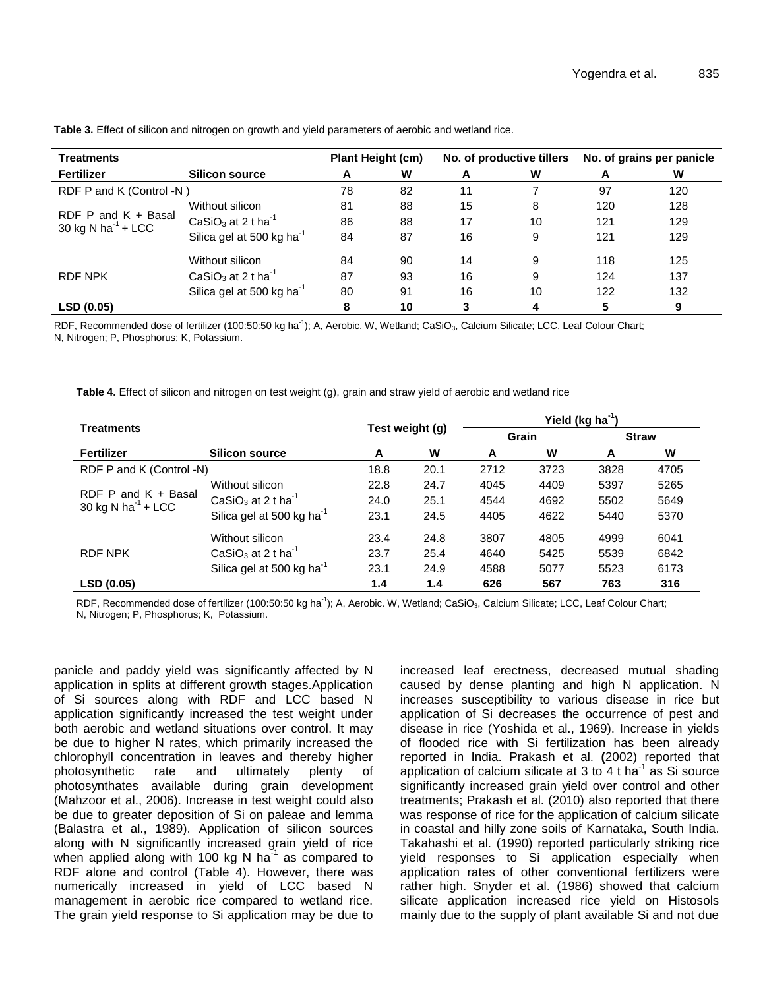| <b>Treatments</b>                                       | <b>Plant Height (cm)</b>                   |    |    | No. of productive tillers | No. of grains per panicle |     |     |
|---------------------------------------------------------|--------------------------------------------|----|----|---------------------------|---------------------------|-----|-----|
| Fertilizer                                              | <b>Silicon source</b>                      |    | W  | A                         | W                         | А   | W   |
| RDF P and K (Control -N)                                | 78                                         | 82 | 11 |                           | 97                        | 120 |     |
|                                                         | Without silicon                            | 81 | 88 | 15                        | 8                         | 120 | 128 |
| RDF P and $K +$ Basal<br>30 kg N ha <sup>-1</sup> + LCC | CaSiO <sub>3</sub> at 2 t ha <sup>-1</sup> | 86 | 88 | 17                        | 10                        | 121 | 129 |
|                                                         | Silica gel at 500 kg ha <sup>-1</sup>      | 84 | 87 | 16                        | 9                         | 121 | 129 |
|                                                         | Without silicon                            | 84 | 90 | 14                        | 9                         | 118 | 125 |
| <b>RDF NPK</b>                                          | CaSiO <sub>3</sub> at 2 t ha <sup>-1</sup> | 87 | 93 | 16                        | 9                         | 124 | 137 |
|                                                         | Silica gel at 500 kg ha <sup>-1</sup>      | 80 | 91 | 16                        | 10                        | 122 | 132 |
| LSD (0.05)                                              |                                            | 8  | 10 | 3                         | 4                         | 5   | 9   |

**Table 3.** Effect of silicon and nitrogen on growth and yield parameters of aerobic and wetland rice.

RDF, Recommended dose of fertilizer (100:50:50 kg ha<sup>-1</sup>); A, Aerobic. W, Wetland; CaSiO<sub>3</sub>, Calcium Silicate; LCC, Leaf Colour Chart; N, Nitrogen; P, Phosphorus; K, Potassium.

**Table 4.** Effect of silicon and nitrogen on test weight (g), grain and straw yield of aerobic and wetland rice

|                                                         |                                            |      |                 | Yield (kg ha <sup>-1</sup> ) |       |              |      |  |
|---------------------------------------------------------|--------------------------------------------|------|-----------------|------------------------------|-------|--------------|------|--|
| <b>Treatments</b>                                       |                                            |      | Test weight (g) |                              | Grain | <b>Straw</b> |      |  |
| <b>Fertilizer</b><br><b>Silicon source</b>              |                                            | A    | W               | A                            | W     | A            | W    |  |
| RDF P and K (Control -N)                                | 18.8                                       | 20.1 | 2712            | 3723                         | 3828  | 4705         |      |  |
|                                                         | Without silicon                            | 22.8 | 24.7            | 4045                         | 4409  | 5397         | 5265 |  |
| RDF P and $K +$ Basal<br>30 kg N ha <sup>-1</sup> + LCC | CaSiO <sub>3</sub> at 2 t ha <sup>-1</sup> | 24.0 | 25.1            | 4544                         | 4692  | 5502         | 5649 |  |
|                                                         | Silica gel at 500 kg ha <sup>-1</sup>      | 23.1 | 24.5            | 4405                         | 4622  | 5440         | 5370 |  |
|                                                         | Without silicon                            | 23.4 | 24.8            | 3807                         | 4805  | 4999         | 6041 |  |
| <b>RDF NPK</b>                                          | CaSiO <sub>3</sub> at 2 t ha <sup>-1</sup> | 23.7 | 25.4            | 4640                         | 5425  | 5539         | 6842 |  |
|                                                         | Silica gel at 500 kg ha <sup>-1</sup>      | 23.1 | 24.9            | 4588                         | 5077  | 5523         | 6173 |  |
| LSD (0.05)                                              |                                            | 1.4  | 1.4             | 626                          | 567   | 763          | 316  |  |

RDF, Recommended dose of fertilizer (100:50:50 kg ha<sup>-1</sup>); A, Aerobic. W, Wetland; CaSiO<sub>3</sub>, Calcium Silicate; LCC, Leaf Colour Chart; N, Nitrogen; P, Phosphorus; K, Potassium.

panicle and paddy yield was significantly affected by N application in splits at different growth stages.Application of Si sources along with RDF and LCC based N application significantly increased the test weight under both aerobic and wetland situations over control. It may be due to higher N rates, which primarily increased the chlorophyll concentration in leaves and thereby higher photosynthetic rate and ultimately plenty of photosynthates available during grain development (Mahzoor et al., 2006). Increase in test weight could also be due to greater deposition of Si on paleae and lemma (Balastra et al., 1989). Application of silicon sources along with N significantly increased grain yield of rice when applied along with 100 kg N ha<sup>-1</sup> as compared to RDF alone and control (Table 4). However, there was numerically increased in yield of LCC based N management in aerobic rice compared to wetland rice. The grain yield response to Si application may be due to

increased leaf erectness, decreased mutual shading caused by dense planting and high N application. N increases susceptibility to various disease in rice but application of Si decreases the occurrence of pest and disease in rice (Yoshida et al., 1969). Increase in yields of flooded rice with Si fertilization has been already reported in India. Prakash et al. **(**2002) reported that application of calcium silicate at 3 to 4 t ha<sup>-1</sup> as Si source significantly increased grain yield over control and other treatments; Prakash et al. (2010) also reported that there was response of rice for the application of calcium silicate in coastal and hilly zone soils of Karnataka, South India. Takahashi et al. (1990) reported particularly striking rice yield responses to Si application especially when application rates of other conventional fertilizers were rather high. Snyder et al. (1986) showed that calcium silicate application increased rice yield on Histosols mainly due to the supply of plant available Si and not due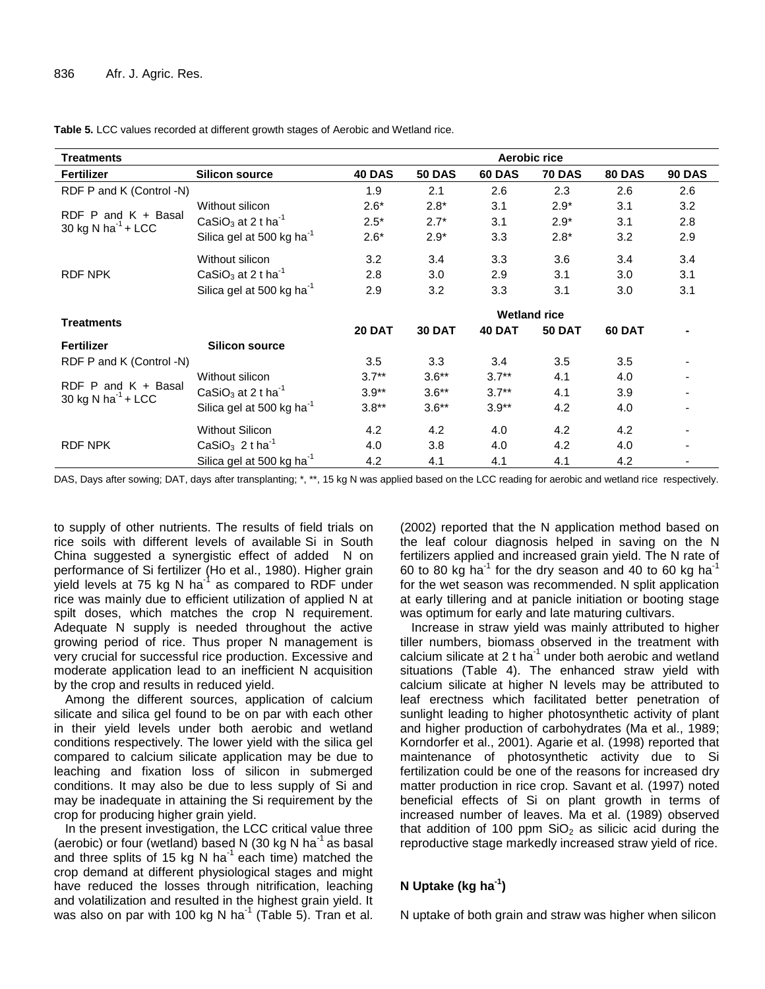**Table 5.** LCC values recorded at different growth stages of Aerobic and Wetland rice.

| <b>Treatments</b>                                   |                                            | Aerobic rice        |               |               |               |               |               |  |  |
|-----------------------------------------------------|--------------------------------------------|---------------------|---------------|---------------|---------------|---------------|---------------|--|--|
| <b>Fertilizer</b>                                   | <b>Silicon source</b>                      | <b>40 DAS</b>       | <b>50 DAS</b> | <b>60 DAS</b> | <b>70 DAS</b> | <b>80 DAS</b> | <b>90 DAS</b> |  |  |
| RDF P and K (Control -N)                            |                                            | 1.9                 | 2.1           | 2.6           | 2.3           | 2.6           | 2.6           |  |  |
|                                                     | Without silicon                            | $2.6*$              | $2.8*$        | 3.1           | $2.9*$        | 3.1           | 3.2           |  |  |
| RDF $P$ and $K +$ Basal<br>30 kg N ha $^{-1}$ + LCC | CaSiO <sub>3</sub> at 2 t ha <sup>-1</sup> | $2.5*$              | $2.7*$        | 3.1           | $2.9*$        | 3.1           | 2.8           |  |  |
|                                                     | Silica gel at 500 kg ha <sup>-1</sup>      | $2.6*$              | $2.9*$        | 3.3           | $2.8*$        | 3.2           | 2.9           |  |  |
|                                                     | Without silicon                            | 3.2                 | 3.4           | 3.3           | 3.6           | 3.4           | 3.4           |  |  |
| RDF NPK                                             | CaSiO <sub>3</sub> at 2 t ha <sup>-1</sup> | 2.8                 | 3.0           | 2.9           | 3.1           | 3.0           | 3.1           |  |  |
|                                                     | Silica gel at 500 kg ha <sup>-1</sup>      | 2.9                 | 3.2           | 3.3           | 3.1           | 3.0           | 3.1           |  |  |
|                                                     |                                            | <b>Wetland rice</b> |               |               |               |               |               |  |  |
| <b>Treatments</b>                                   |                                            | <b>20 DAT</b>       | <b>30 DAT</b> | <b>40 DAT</b> | <b>50 DAT</b> | <b>60 DAT</b> |               |  |  |
| Fertilizer                                          | <b>Silicon source</b>                      |                     |               |               |               |               |               |  |  |
| RDF P and K (Control -N)                            |                                            | 3.5                 | 3.3           | 3.4           | 3.5           | 3.5           |               |  |  |
|                                                     | Without silicon                            | $3.7**$             | $3.6**$       | $3.7**$       | 4.1           | 4.0           |               |  |  |
| RDF $P$ and $K +$ Basal<br>30 kg N ha $^{-1}$ + LCC | CaSiO <sub>3</sub> at 2 t ha <sup>-1</sup> | $3.9**$             | $3.6**$       | $3.7**$       | 4.1           | 3.9           |               |  |  |
|                                                     | Silica gel at 500 kg ha <sup>-1</sup>      | $3.8**$             | $3.6**$       | $3.9**$       | 4.2           | 4.0           |               |  |  |
|                                                     | <b>Without Silicon</b>                     | 4.2                 | 4.2           | 4.0           | 4.2           | 4.2           |               |  |  |
| <b>RDF NPK</b>                                      | CaSiO <sub>3</sub> 2 t ha <sup>-1</sup>    | 4.0                 | 3.8           | 4.0           | 4.2           | 4.0           |               |  |  |
|                                                     | Silica gel at 500 kg ha <sup>-1</sup>      | 4.2                 | 4.1           | 4.1           | 4.1           | 4.2           |               |  |  |

DAS, Days after sowing; DAT, days after transplanting; \*, \*\*, 15 kg N was applied based on the LCC reading for aerobic and wetland rice respectively.

to supply of other nutrients. The results of field trials on rice soils with different levels of available Si in South China suggested a synergistic effect of added N on performance of Si fertilizer (Ho et al., 1980). Higher grain yield levels at 75 kg N ha<sup>-1</sup> as compared to RDF under rice was mainly due to efficient utilization of applied N at spilt doses, which matches the crop N requirement. Adequate N supply is needed throughout the active growing period of rice. Thus proper N management is very crucial for successful rice production. Excessive and moderate application lead to an inefficient N acquisition by the crop and results in reduced yield.

Among the different sources, application of calcium silicate and silica gel found to be on par with each other in their yield levels under both aerobic and wetland conditions respectively. The lower yield with the silica gel compared to calcium silicate application may be due to leaching and fixation loss of silicon in submerged conditions. It may also be due to less supply of Si and may be inadequate in attaining the Si requirement by the crop for producing higher grain yield.

In the present investigation, the LCC critical value three (aerobic) or four (wetland) based N (30 kg N ha<sup>-1</sup> as basal and three splits of 15 kg N ha<sup>-1</sup> each time) matched the crop demand at different physiological stages and might have reduced the losses through nitrification, leaching and volatilization and resulted in the highest grain yield. It was also on par with 100 kg N ha<sup>-1</sup> (Table 5). Tran et al.

(2002) reported that the N application method based on the leaf colour diagnosis helped in saving on the N fertilizers applied and increased grain yield. The N rate of 60 to 80 kg ha<sup>-1</sup> for the dry season and 40 to 60 kg ha<sup>-1</sup> for the wet season was recommended. N split application at early tillering and at panicle initiation or booting stage was optimum for early and late maturing cultivars.

Increase in straw yield was mainly attributed to higher tiller numbers, biomass observed in the treatment with calcium silicate at 2 t ha $^{-1}$  under both aerobic and wetland situations (Table 4). The enhanced straw yield with calcium silicate at higher N levels may be attributed to leaf erectness which facilitated better penetration of sunlight leading to higher photosynthetic activity of plant and higher production of carbohydrates (Ma et al., 1989; Korndorfer et al., 2001). Agarie et al. (1998) reported that maintenance of photosynthetic activity due to Si fertilization could be one of the reasons for increased dry matter production in rice crop. Savant et al. (1997) noted beneficial effects of Si on plant growth in terms of increased number of leaves. Ma et al. (1989) observed that addition of 100 ppm  $SiO<sub>2</sub>$  as silicic acid during the reproductive stage markedly increased straw yield of rice.

## **N Uptake (kg ha-1 )**

N uptake of both grain and straw was higher when silicon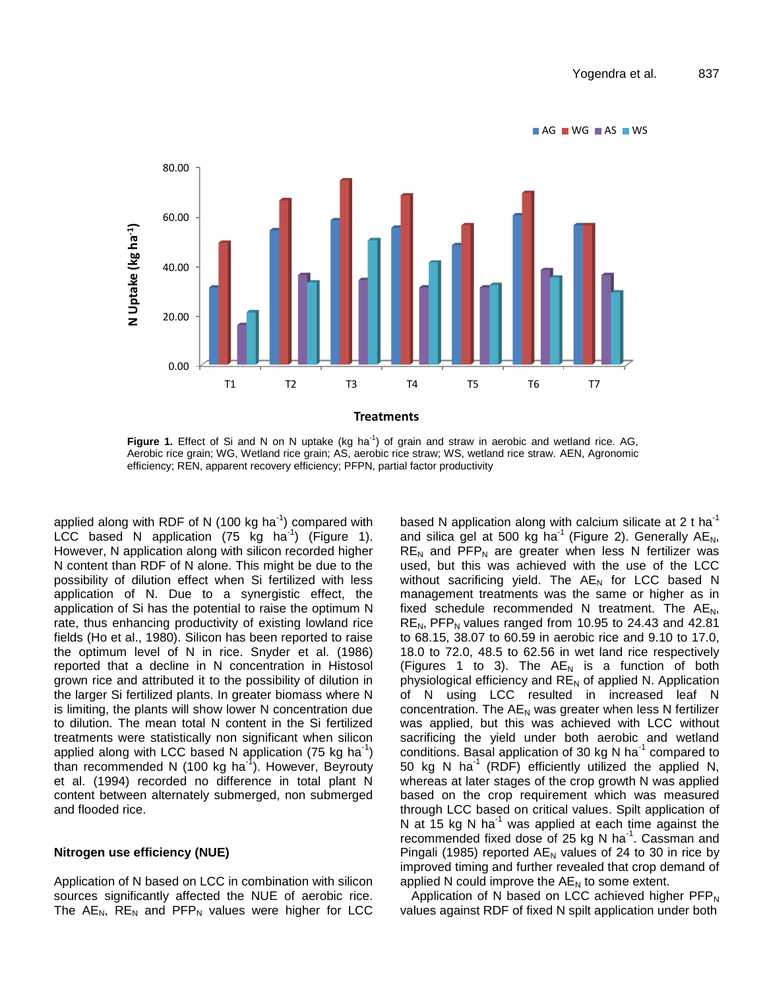

Figure 1. Effect of Si and N on N uptake (kg ha<sup>-1</sup>) of grain and straw in aerobic and wetland rice. AG, Aerobic rice grain; WG, Wetland rice grain; AS, aerobic rice straw; WS, wetland rice straw. AEN, Agronomic efficiency; REN, apparent recovery efficiency; PFPN, partial factor productivity

applied along with RDF of N (100 kg ha<sup>-1</sup>) compared with LCC based N application (75 kg ha<sup>-1</sup>) (Figure 1). However, N application along with silicon recorded higher N content than RDF of N alone. This might be due to the possibility of dilution effect when Si fertilized with less application of N. Due to a synergistic effect, the application of Si has the potential to raise the optimum N rate, thus enhancing productivity of existing lowland rice fields (Ho et al., 1980). Silicon has been reported to raise the optimum level of N in rice. Snyder et al. (1986) reported that a decline in N concentration in Histosol grown rice and attributed it to the possibility of dilution in the larger Si fertilized plants. In greater biomass where N is limiting, the plants will show lower N concentration due to dilution. The mean total N content in the Si fertilized treatments were statistically non significant when silicon applied along with LCC based N application (75 kg ha<sup>-1</sup>) than recommended N (100 kg ha<sup>-1</sup>). However, Beyrouty et al. (1994) recorded no difference in total plant N content between alternately submerged, non submerged and flooded rice.

#### **Nitrogen use efficiency (NUE)**

Application of N based on LCC in combination with silicon sources significantly affected the NUE of aerobic rice. The  $AE_N$ ,  $RE_N$  and  $PEP_N$  values were higher for LCC

based N application along with calcium silicate at 2 t ha<sup>-1</sup> and silica gel at 500 kg ha<sup>-1</sup> (Figure 2). Generally  $AE<sub>N</sub>$ ,  $RE<sub>N</sub>$  and PFP<sub>N</sub> are greater when less N fertilizer was used, but this was achieved with the use of the LCC without sacrificing yield. The  $AE_N$  for LCC based N management treatments was the same or higher as in fixed schedule recommended N treatment. The  $AE_N$ ,  $RE<sub>N</sub>$ , PFP<sub>N</sub> values ranged from 10.95 to 24.43 and 42.81 to 68.15, 38.07 to 60.59 in aerobic rice and 9.10 to 17.0, 18.0 to 72.0, 48.5 to 62.56 in wet land rice respectively (Figures 1 to 3). The  $AE_N$  is a function of both physiological efficiency and  $RE<sub>N</sub>$  of applied N. Application of N using LCC resulted in increased leaf N concentration. The  $AE_N$  was greater when less N fertilizer was applied, but this was achieved with LCC without sacrificing the yield under both aerobic and wetland conditions. Basal application of 30 kg N ha $^{-1}$  compared to 50 kg N ha<sup>-1</sup> (RDF) efficiently utilized the applied N, whereas at later stages of the crop growth N was applied based on the crop requirement which was measured through LCC based on critical values. Spilt application of N at 15 kg N ha $^{-1}$  was applied at each time against the recommended fixed dose of 25 kg N ha $^{-1}$ . Cassman and Pingali (1985) reported  $AE_N$  values of 24 to 30 in rice by improved timing and further revealed that crop demand of applied N could improve the  $AE_N$  to some extent.

Application of N based on LCC achieved higher  $PFP_N$ values against RDF of fixed N spilt application under both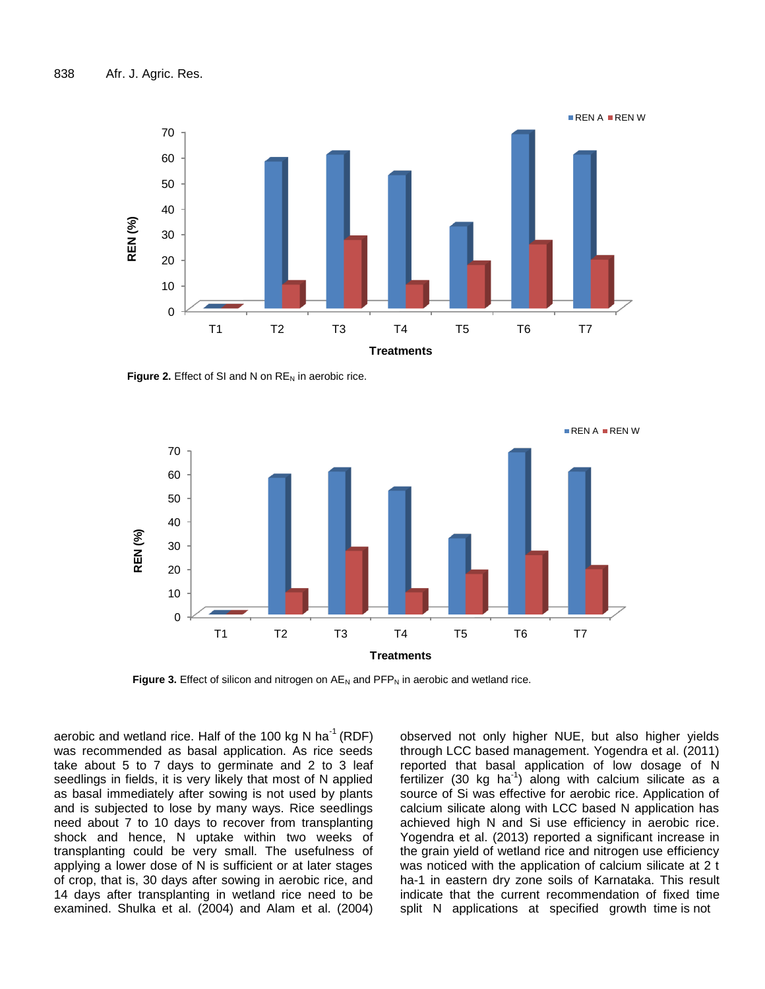

**Figure 2.** Effect of SI and N on RE<sub>N</sub> in aerobic rice.



Figure 3. Effect of silicon and nitrogen on AE<sub>N</sub> and PFP<sub>N</sub> in aerobic and wetland rice.

aerobic and wetland rice. Half of the 100 kg N ha<sup>-1</sup> (RDF) was recommended as basal application. As rice seeds take about 5 to 7 days to germinate and 2 to 3 leaf seedlings in fields, it is very likely that most of N applied as basal immediately after sowing is not used by plants and is subjected to lose by many ways. Rice seedlings need about 7 to 10 days to recover from transplanting shock and hence, N uptake within two weeks of transplanting could be very small. The usefulness of applying a lower dose of N is sufficient or at later stages of crop, that is, 30 days after sowing in aerobic rice, and 14 days after transplanting in wetland rice need to be examined. Shulka et al. (2004) and Alam et al. (2004)

observed not only higher NUE, but also higher yields through LCC based management. Yogendra et al. (2011) reported that basal application of low dosage of N fertilizer (30 kg ha<sup>-1</sup>) along with calcium silicate as a source of Si was effective for aerobic rice. Application of calcium silicate along with LCC based N application has achieved high N and Si use efficiency in aerobic rice. Yogendra et al. (2013) reported a significant increase in the grain yield of wetland rice and nitrogen use efficiency was noticed with the application of calcium silicate at 2 t ha-1 in eastern dry zone soils of Karnataka. This result indicate that the current recommendation of fixed time split N applications at specified growth time is not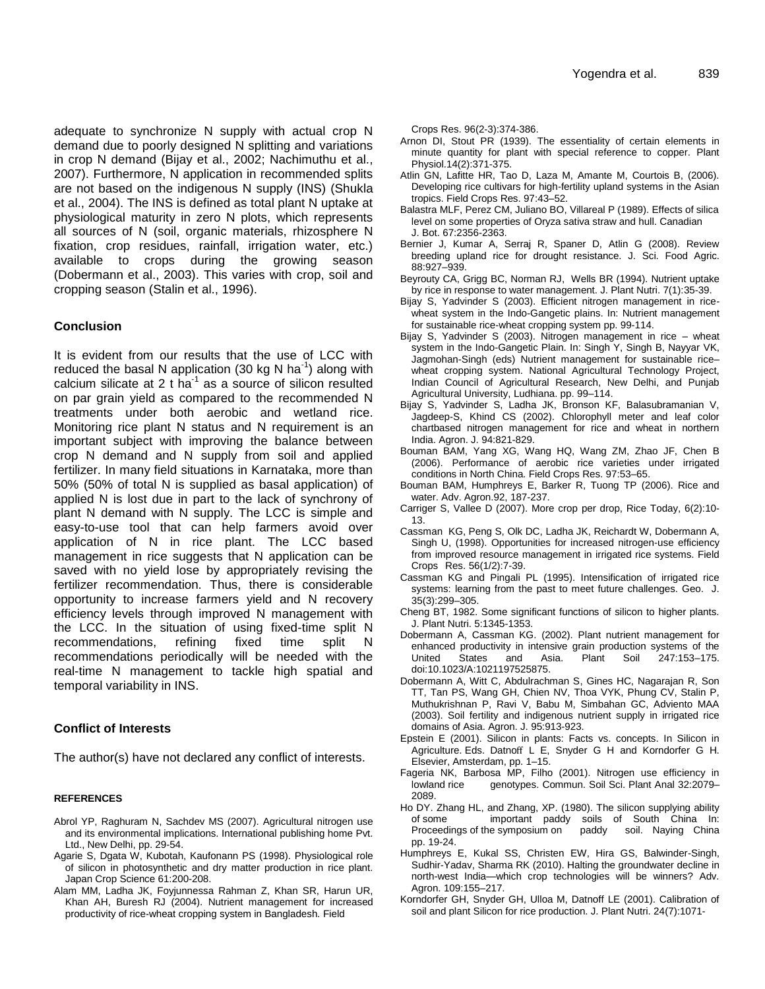adequate to synchronize N supply with actual crop N demand due to poorly designed N splitting and variations in crop N demand (Bijay et al., 2002; Nachimuthu et al., 2007). Furthermore, N application in recommended splits are not based on the indigenous N supply (INS) (Shukla et al., 2004). The INS is defined as total plant N uptake at physiological maturity in zero N plots, which represents all sources of N (soil, organic materials, rhizosphere N fixation, crop residues, rainfall, irrigation water, etc.) available to crops during the growing season (Dobermann et al., 2003). This varies with crop, soil and cropping season (Stalin et al., 1996).

#### **Conclusion**

It is evident from our results that the use of LCC with reduced the basal N application (30 kg N ha<sup>-1</sup>) along with calcium silicate at 2  $t$  ha<sup>-1</sup> as a source of silicon resulted on par grain yield as compared to the recommended N treatments under both aerobic and wetland rice. Monitoring rice plant N status and N requirement is an important subject with improving the balance between crop N demand and N supply from soil and applied fertilizer. In many field situations in Karnataka, more than 50% (50% of total N is supplied as basal application) of applied N is lost due in part to the lack of synchrony of plant N demand with N supply. The LCC is simple and easy-to-use tool that can help farmers avoid over application of N in rice plant. The LCC based management in rice suggests that N application can be saved with no yield lose by appropriately revising the fertilizer recommendation. Thus, there is considerable opportunity to increase farmers yield and N recovery efficiency levels through improved N management with the LCC. In the situation of using fixed-time split N recommendations, refining fixed time split N recommendations periodically will be needed with the real-time N management to tackle high spatial and temporal variability in INS.

#### **Conflict of Interests**

The author(s) have not declared any conflict of interests.

#### **REFERENCES**

- Abrol YP, Raghuram N, Sachdev MS (2007). Agricultural nitrogen use and its environmental implications. International publishing home Pvt. Ltd., New Delhi, pp. 29-54.
- Agarie S, Dgata W, Kubotah, Kaufonann PS (1998). Physiological role of silicon in photosynthetic and dry matter production in rice plant. Japan Crop Science 61:200-208.
- Alam MM, Ladha JK, Foyjunnessa Rahman Z, Khan SR, Harun UR, Khan AH, Buresh RJ (2004). Nutrient management for increased productivity of rice-wheat cropping system in Bangladesh. Field

Crops Res. 96(2-3):374-386.

- Arnon DI, Stout PR (1939). The essentiality of certain elements in minute quantity for plant with special reference to copper. Plant Physiol.14(2):371-375.
- Atlin GN, Lafitte HR, Tao D, Laza M, Amante M, Courtois B, (2006). Developing rice cultivars for high-fertility upland systems in the Asian tropics. Field Crops Res. 97:43–52.
- Balastra MLF, Perez CM, Juliano BO, Villareal P (1989). Effects of silica level on some properties of Oryza sativa straw and hull. Canadian J. Bot. 67:2356-2363.
- Bernier J, Kumar A, Serraj R, Spaner D, Atlin G (2008). Review breeding upland rice for drought resistance. J. Sci. Food Agric. 88:927–939.
- Beyrouty CA, Grigg BC, Norman RJ, Wells BR (1994). Nutrient uptake by rice in response to water management. J. Plant Nutri. 7(1):35-39.
- Bijay S, Yadvinder S (2003). Efficient nitrogen management in ricewheat system in the Indo-Gangetic plains. In: Nutrient management for sustainable rice-wheat cropping system pp. 99-114.
- Bijay S, Yadvinder S (2003). Nitrogen management in rice wheat system in the Indo-Gangetic Plain. In: Singh Y, Singh B, Nayyar VK, Jagmohan-Singh (eds) Nutrient management for sustainable rice– wheat cropping system. National Agricultural Technology Project, Indian Council of Agricultural Research, New Delhi, and Punjab Agricultural University, Ludhiana. pp. 99–114.
- Bijay S, Yadvinder S, Ladha JK, Bronson KF, Balasubramanian V, Jagdeep-S, Khind CS (2002). Chlorophyll meter and leaf color chartbased nitrogen management for rice and wheat in northern India. Agron. J. 94:821-829.
- Bouman BAM, Yang XG, Wang HQ, Wang ZM, Zhao JF, Chen B (2006). Performance of aerobic rice varieties under irrigated conditions in North China. Field Crops Res. 97:53–65.
- Bouman BAM, Humphreys E, Barker R, Tuong TP (2006). Rice and water. Adv. Agron.92, 187-237.
- Carriger S, Vallee D (2007). More crop per drop, Rice Today, 6(2):10- 13.
- Cassman KG, Peng S, Olk DC, Ladha JK, Reichardt W, Dobermann A, Singh U, (1998). Opportunities for increased nitrogen-use efficiency from improved resource management in irrigated rice systems. Field Crops Res. 56(1/2):7-39.
- Cassman KG and Pingali PL (1995). Intensification of irrigated rice systems: learning from the past to meet future challenges. Geo. J. 35(3):299–305.
- Cheng BT, 1982. Some significant functions of silicon to higher plants. J. Plant Nutri. 5:1345-1353.
- Dobermann A, Cassman KG. (2002). Plant nutrient management for enhanced productivity in intensive grain production systems of the United States and Asia. Plant Soil 247:153–175. doi:10.1023/A:1021197525875.
- Dobermann A, Witt C, Abdulrachman S, Gines HC, Nagarajan R, Son TT, Tan PS, Wang GH, Chien NV, Thoa VYK, Phung CV, Stalin P, Muthukrishnan P, Ravi V, Babu M, Simbahan GC, Adviento MAA (2003). Soil fertility and indigenous nutrient supply in irrigated rice domains of Asia. Agron. J. 95:913-923.
- Epstein E (2001). Silicon in plants: Facts vs. concepts. In Silicon in Agriculture. Eds. Datnoff L E, Snyder G H and Korndorfer G H. Elsevier, Amsterdam, pp. 1–15.
- Fageria NK, Barbosa MP, Filho (2001). Nitrogen use efficiency in lowland rice genotypes. Commun. Soil Sci. Plant Anal 32:2079– 2089.
- Ho DY. Zhang HL, and Zhang, XP. (1980). The silicon supplying ability of some important paddy soils of South China In: Proceedings of the symposium on paddy soil. Naying China pp. 19-24.
- Humphreys E, Kukal SS, Christen EW, Hira GS, Balwinder-Singh, Sudhir-Yadav, Sharma RK (2010). Halting the groundwater decline in north-west India—which crop technologies will be winners? Adv. Agron. 109:155–217.
- Korndorfer GH, Snyder GH, Ulloa M, Datnoff LE (2001). Calibration of soil and plant Silicon for rice production. J. Plant Nutri. 24(7):1071-